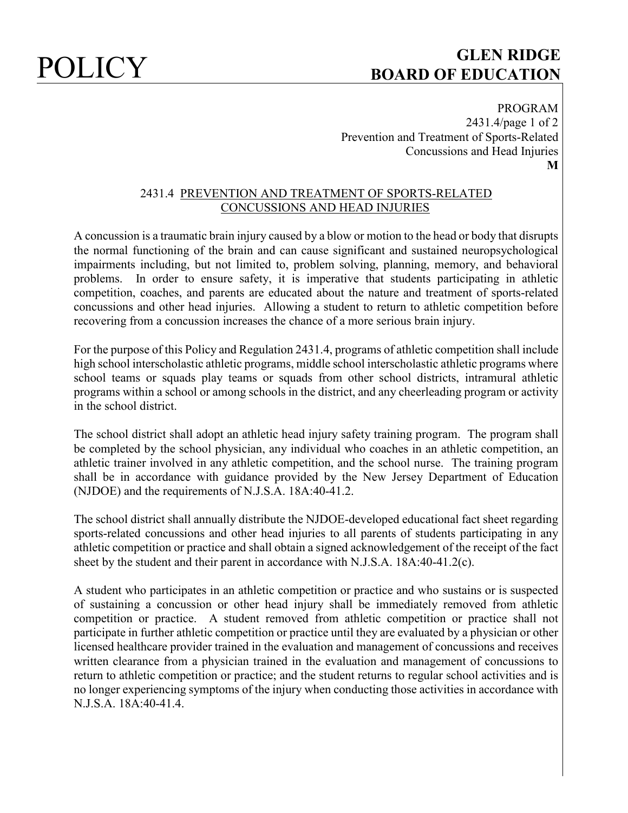# POLICY **GLEN RIDGE BOARD OF EDUCATION**

PROGRAM 2431.4/page 1 of 2 Prevention and Treatment of Sports-Related Concussions and Head Injuries **M**

## 2431.4 PREVENTION AND TREATMENT OF SPORTS-RELATED CONCUSSIONS AND HEAD INJURIES

A concussion is a traumatic brain injury caused by a blow or motion to the head or body that disrupts the normal functioning of the brain and can cause significant and sustained neuropsychological impairments including, but not limited to, problem solving, planning, memory, and behavioral problems. In order to ensure safety, it is imperative that students participating in athletic competition, coaches, and parents are educated about the nature and treatment of sports-related concussions and other head injuries. Allowing a student to return to athletic competition before recovering from a concussion increases the chance of a more serious brain injury.

For the purpose of this Policy and Regulation 2431.4, programs of athletic competition shall include high school interscholastic athletic programs, middle school interscholastic athletic programs where school teams or squads play teams or squads from other school districts, intramural athletic programs within a school or among schools in the district, and any cheerleading program or activity in the school district.

The school district shall adopt an athletic head injury safety training program. The program shall be completed by the school physician, any individual who coaches in an athletic competition, an athletic trainer involved in any athletic competition, and the school nurse. The training program shall be in accordance with guidance provided by the New Jersey Department of Education (NJDOE) and the requirements of N.J.S.A. 18A:40-41.2.

The school district shall annually distribute the NJDOE-developed educational fact sheet regarding sports-related concussions and other head injuries to all parents of students participating in any athletic competition or practice and shall obtain a signed acknowledgement of the receipt of the fact sheet by the student and their parent in accordance with N.J.S.A. 18A:40-41.2(c).

A student who participates in an athletic competition or practice and who sustains or is suspected of sustaining a concussion or other head injury shall be immediately removed from athletic competition or practice. A student removed from athletic competition or practice shall not participate in further athletic competition or practice until they are evaluated by a physician or other licensed healthcare provider trained in the evaluation and management of concussions and receives written clearance from a physician trained in the evaluation and management of concussions to return to athletic competition or practice; and the student returns to regular school activities and is no longer experiencing symptoms of the injury when conducting those activities in accordance with N.J.S.A. 18A:40-41.4.